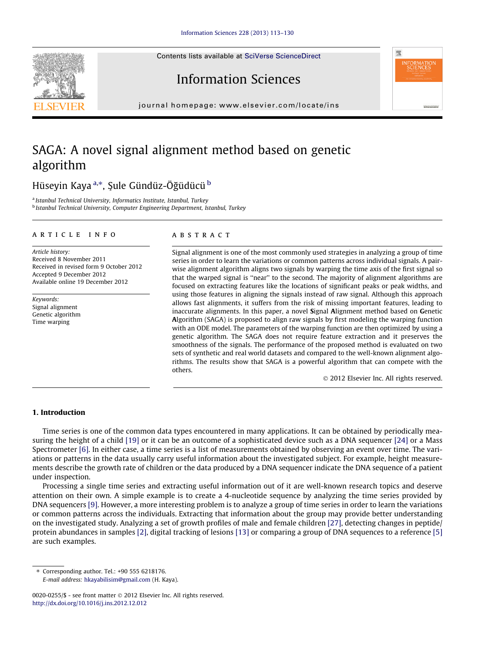Contents lists available at [SciVerse ScienceDirect](http://www.sciencedirect.com/science/journal/00200255)





journal homepage: [www.elsevier.com/locate/ins](http://www.elsevier.com/locate/ins)

## SAGA: A novel signal alignment method based on genetic algorithm

### Hüseyin Kaya <sup>a,</sup>\*, Şule Gündüz-Öğüdücü <sup>b</sup>

<sup>a</sup> Istanbul Technical University, Informatics Institute, Istanbul, Turkey <sup>b</sup> Istanbul Technical University, Computer Engineering Department, Istanbul, Turkey

#### article info

Article history: Received 8 November 2011 Received in revised form 9 October 2012 Accepted 9 December 2012 Available online 19 December 2012

Keywords: Signal alignment Genetic algorithm Time warping

#### **ABSTRACT**

Signal alignment is one of the most commonly used strategies in analyzing a group of time series in order to learn the variations or common patterns across individual signals. A pairwise alignment algorithm aligns two signals by warping the time axis of the first signal so that the warped signal is ''near'' to the second. The majority of alignment algorithms are focused on extracting features like the locations of significant peaks or peak widths, and using those features in aligning the signals instead of raw signal. Although this approach allows fast alignments, it suffers from the risk of missing important features, leading to inaccurate alignments. In this paper, a novel Signal Alignment method based on Genetic Algorithm (SAGA) is proposed to align raw signals by first modeling the warping function with an ODE model. The parameters of the warping function are then optimized by using a genetic algorithm. The SAGA does not require feature extraction and it preserves the smoothness of the signals. The performance of the proposed method is evaluated on two sets of synthetic and real world datasets and compared to the well-known alignment algorithms. The results show that SAGA is a powerful algorithm that can compete with the others.

- 2012 Elsevier Inc. All rights reserved.

NFORMATIC<br>SCIENCES

#### 1. Introduction

Time series is one of the common data types encountered in many applications. It can be obtained by periodically measuring the height of a child [\[19\]](#page--1-0) or it can be an outcome of a sophisticated device such as a DNA sequencer [\[24\]](#page--1-0) or a Mass Spectrometer [\[6\].](#page--1-0) In either case, a time series is a list of measurements obtained by observing an event over time. The variations or patterns in the data usually carry useful information about the investigated subject. For example, height measurements describe the growth rate of children or the data produced by a DNA sequencer indicate the DNA sequence of a patient under inspection.

Processing a single time series and extracting useful information out of it are well-known research topics and deserve attention on their own. A simple example is to create a 4-nucleotide sequence by analyzing the time series provided by DNA sequencers [\[9\].](#page--1-0) However, a more interesting problem is to analyze a group of time series in order to learn the variations or common patterns across the individuals. Extracting that information about the group may provide better understanding on the investigated study. Analyzing a set of growth profiles of male and female children [\[27\]](#page--1-0), detecting changes in peptide/ protein abundances in samples [\[2\],](#page--1-0) digital tracking of lesions [\[13\]](#page--1-0) or comparing a group of DNA sequences to a reference [\[5\]](#page--1-0) are such examples.

⇑ Corresponding author. Tel.: +90 555 6218176. E-mail address: [hkayabilisim@gmail.com](mailto:hkayabilisim@gmail.com) (H. Kaya).

<sup>0020-0255/\$ -</sup> see front matter © 2012 Elsevier Inc. All rights reserved. <http://dx.doi.org/10.1016/j.ins.2012.12.012>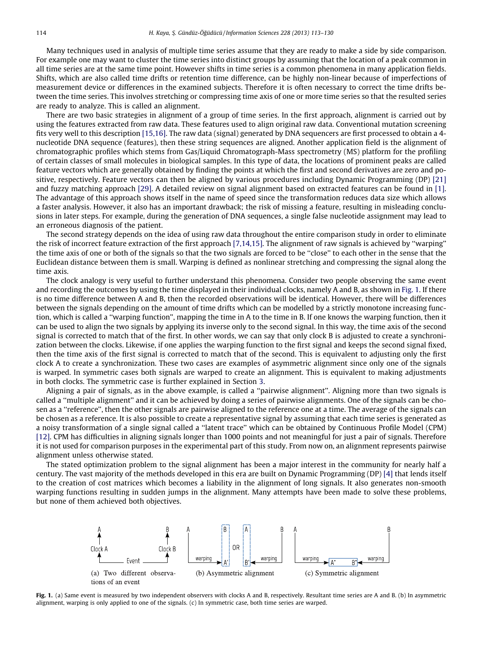Many techniques used in analysis of multiple time series assume that they are ready to make a side by side comparison. For example one may want to cluster the time series into distinct groups by assuming that the location of a peak common in all time series are at the same time point. However shifts in time series is a common phenomena in many application fields. Shifts, which are also called time drifts or retention time difference, can be highly non-linear because of imperfections of measurement device or differences in the examined subjects. Therefore it is often necessary to correct the time drifts between the time series. This involves stretching or compressing time axis of one or more time series so that the resulted series are ready to analyze. This is called an alignment.

There are two basic strategies in alignment of a group of time series. In the first approach, alignment is carried out by using the features extracted from raw data. These features used to align original raw data. Conventional mutation screening fits very well to this description [\[15,16\].](#page--1-0) The raw data (signal) generated by DNA sequencers are first processed to obtain a 4 nucleotide DNA sequence (features), then these string sequences are aligned. Another application field is the alignment of chromatographic profiles which stems from Gas/Liquid Chromatograph-Mass spectrometry (MS) platform for the profiling of certain classes of small molecules in biological samples. In this type of data, the locations of prominent peaks are called feature vectors which are generally obtained by finding the points at which the first and second derivatives are zero and positive, respectively. Feature vectors can then be aligned by various procedures including Dynamic Programming (DP) [\[21\]](#page--1-0) and fuzzy matching approach [\[29\]](#page--1-0). A detailed review on signal alignment based on extracted features can be found in [\[1\]](#page--1-0). The advantage of this approach shows itself in the name of speed since the transformation reduces data size which allows a faster analysis. However, it also has an important drawback; the risk of missing a feature, resulting in misleading conclusions in later steps. For example, during the generation of DNA sequences, a single false nucleotide assignment may lead to an erroneous diagnosis of the patient.

The second strategy depends on the idea of using raw data throughout the entire comparison study in order to eliminate the risk of incorrect feature extraction of the first approach [\[7,14,15\]](#page--1-0). The alignment of raw signals is achieved by ''warping'' the time axis of one or both of the signals so that the two signals are forced to be ''close'' to each other in the sense that the Euclidean distance between them is small. Warping is defined as nonlinear stretching and compressing the signal along the time axis.

The clock analogy is very useful to further understand this phenomena. Consider two people observing the same event and recording the outcomes by using the time displayed in their individual clocks, namely A and B, as shown in Fig. 1. If there is no time difference between A and B, then the recorded observations will be identical. However, there will be differences between the signals depending on the amount of time drifts which can be modelled by a strictly monotone increasing function, which is called a ''warping function'', mapping the time in A to the time in B. If one knows the warping function, then it can be used to align the two signals by applying its inverse only to the second signal. In this way, the time axis of the second signal is corrected to match that of the first. In other words, we can say that only clock B is adjusted to create a synchronization between the clocks. Likewise, if one applies the warping function to the first signal and keeps the second signal fixed, then the time axis of the first signal is corrected to match that of the second. This is equivalent to adjusting only the first clock A to create a synchronization. These two cases are examples of asymmetric alignment since only one of the signals is warped. In symmetric cases both signals are warped to create an alignment. This is equivalent to making adjustments in both clocks. The symmetric case is further explained in Section 3.

Aligning a pair of signals, as in the above example, is called a ''pairwise alignment''. Aligning more than two signals is called a ''multiple alignment'' and it can be achieved by doing a series of pairwise alignments. One of the signals can be chosen as a ''reference'', then the other signals are pairwise aligned to the reference one at a time. The average of the signals can be chosen as a reference. It is also possible to create a representative signal by assuming that each time series is generated as a noisy transformation of a single signal called a ''latent trace'' which can be obtained by Continuous Profile Model (CPM) [\[12\].](#page--1-0) CPM has difficulties in aligning signals longer than 1000 points and not meaningful for just a pair of signals. Therefore it is not used for comparison purposes in the experimental part of this study. From now on, an alignment represents pairwise alignment unless otherwise stated.

The stated optimization problem to the signal alignment has been a major interest in the community for nearly half a century. The vast majority of the methods developed in this era are built on Dynamic Programming (DP) [\[4\]](#page--1-0) that lends itself to the creation of cost matrices which becomes a liability in the alignment of long signals. It also generates non-smooth warping functions resulting in sudden jumps in the alignment. Many attempts have been made to solve these problems, but none of them achieved both objectives.



Fig. 1. (a) Same event is measured by two independent observers with clocks A and B, respectively. Resultant time series are A and B. (b) In asymmetric alignment, warping is only applied to one of the signals. (c) In symmetric case, both time series are warped.